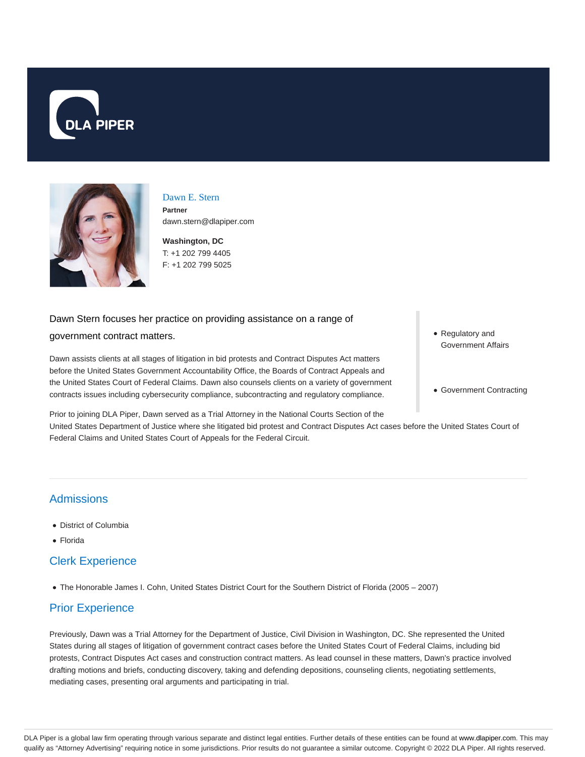



### Dawn E. Stern **Partner** dawn.stern@dlapiper.com

**Washington, DC** T: +1 202 799 4405 F: +1 202 799 5025

### Dawn Stern focuses her practice on providing assistance on a range of

#### government contract matters.

Dawn assists clients at all stages of litigation in bid protests and Contract Disputes Act matters before the United States Government Accountability Office, the Boards of Contract Appeals and the United States Court of Federal Claims. Dawn also counsels clients on a variety of government contracts issues including cybersecurity compliance, subcontracting and regulatory compliance.

Prior to joining DLA Piper, Dawn served as a Trial Attorney in the National Courts Section of the

United States Department of Justice where she litigated bid protest and Contract Disputes Act cases before the United States Court of Federal Claims and United States Court of Appeals for the Federal Circuit.

- **Admissions**
- District of Columbia
- Florida

## Clerk Experience

The Honorable James I. Cohn, United States District Court for the Southern District of Florida (2005 – 2007)

# Prior Experience

Previously, Dawn was a Trial Attorney for the Department of Justice, Civil Division in Washington, DC. She represented the United States during all stages of litigation of government contract cases before the United States Court of Federal Claims, including bid protests, Contract Disputes Act cases and construction contract matters. As lead counsel in these matters, Dawn's practice involved drafting motions and briefs, conducting discovery, taking and defending depositions, counseling clients, negotiating settlements, mediating cases, presenting oral arguments and participating in trial.

- Regulatory and Government Affairs
- Government Contracting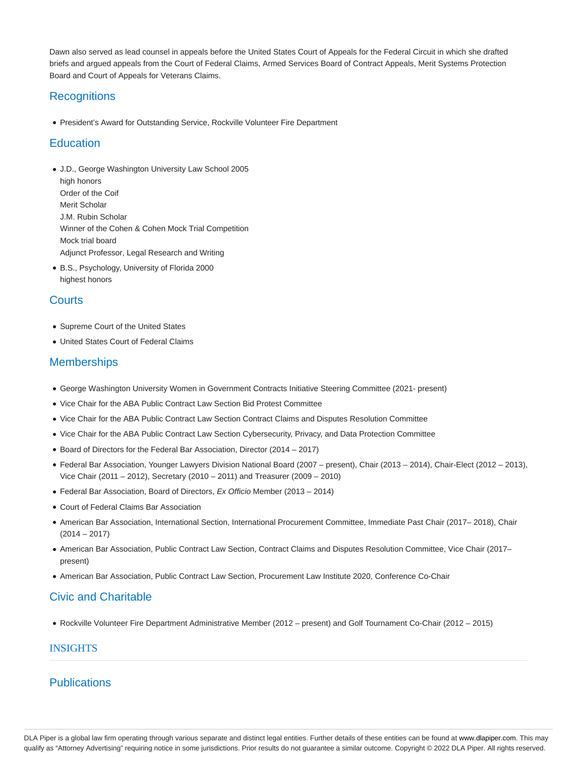Dawn also served as lead counsel in appeals before the United States Court of Appeals for the Federal Circuit in which she drafted briefs and argued appeals from the Court of Federal Claims, Armed Services Board of Contract Appeals, Merit Systems Protection Board and Court of Appeals for Veterans Claims.

# **Recognitions**

President's Award for Outstanding Service, Rockville Volunteer Fire Department

## **Education**

- J.D., George Washington University Law School 2005 high honors Order of the Coif Merit Scholar J.M. Rubin Scholar Winner of the Cohen & Cohen Mock Trial Competition Mock trial board Adjunct Professor, Legal Research and Writing
- B.S., Psychology, University of Florida 2000 highest honors

## **Courts**

- Supreme Court of the United States
- United States Court of Federal Claims

## **Memberships**

- George Washington University Women in Government Contracts Initiative Steering Committee (2021- present)
- Vice Chair for the ABA Public Contract Law Section Bid Protest Committee
- Vice Chair for the ABA Public Contract Law Section Contract Claims and Disputes Resolution Committee
- Vice Chair for the ABA Public Contract Law Section Cybersecurity, Privacy, and Data Protection Committee
- Board of Directors for the Federal Bar Association, Director (2014 2017)
- Federal Bar Association, Younger Lawyers Division National Board (2007 present), Chair (2013 2014), Chair-Elect (2012 2013), Vice Chair (2011 – 2012), Secretary (2010 – 2011) and Treasurer (2009 – 2010)
- Federal Bar Association, Board of Directors, Ex Officio Member (2013 2014)
- Court of Federal Claims Bar Association
- American Bar Association, International Section, International Procurement Committee, Immediate Past Chair (2017– 2018), Chair  $(2014 - 2017)$
- American Bar Association, Public Contract Law Section, Contract Claims and Disputes Resolution Committee, Vice Chair (2017– present)
- American Bar Association, Public Contract Law Section, Procurement Law Institute 2020, Conference Co-Chair

# Civic and Charitable

Rockville Volunteer Fire Department Administrative Member (2012 – present) and Golf Tournament Co-Chair (2012 – 2015)

## INSIGHTS

## **Publications**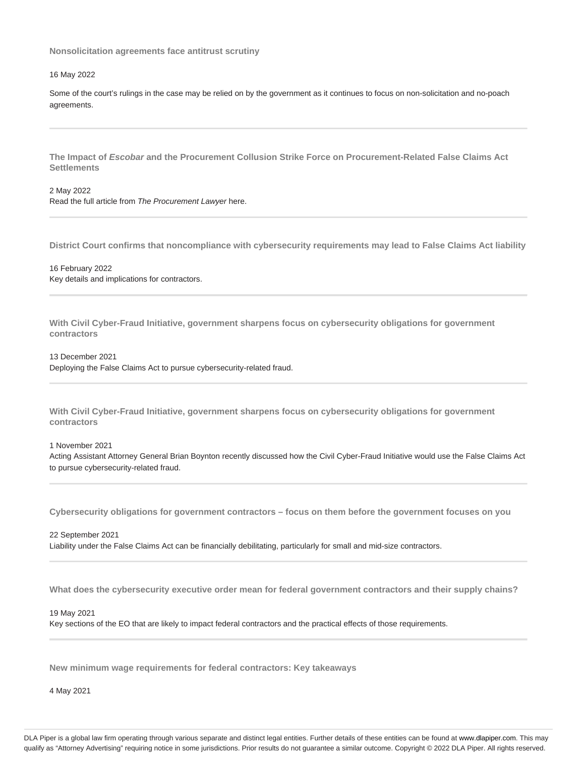**Nonsolicitation agreements face antitrust scrutiny**

#### 16 May 2022

Some of the court's rulings in the case may be relied on by the government as it continues to focus on non-solicitation and no-poach agreements.

**The Impact of Escobar and the Procurement Collusion Strike Force on Procurement-Related False Claims Act Settlements**

2 May 2022 Read the full article from The Procurement Lawyer here.

**District Court confirms that noncompliance with cybersecurity requirements may lead to False Claims Act liability**

16 February 2022 Key details and implications for contractors.

**With Civil Cyber-Fraud Initiative, government sharpens focus on cybersecurity obligations for government contractors**

13 December 2021

Deploying the False Claims Act to pursue cybersecurity-related fraud.

**With Civil Cyber-Fraud Initiative, government sharpens focus on cybersecurity obligations for government contractors**

1 November 2021

Acting Assistant Attorney General Brian Boynton recently discussed how the Civil Cyber-Fraud Initiative would use the False Claims Act to pursue cybersecurity-related fraud.

**Cybersecurity obligations for government contractors – focus on them before the government focuses on you**

22 September 2021 Liability under the False Claims Act can be financially debilitating, particularly for small and mid-size contractors.

**What does the cybersecurity executive order mean for federal government contractors and their supply chains?**

19 May 2021

Key sections of the EO that are likely to impact federal contractors and the practical effects of those requirements.

**New minimum wage requirements for federal contractors: Key takeaways**

4 May 2021

DLA Piper is a global law firm operating through various separate and distinct legal entities. Further details of these entities can be found at www.dlapiper.com. This may qualify as "Attorney Advertising" requiring notice in some jurisdictions. Prior results do not guarantee a similar outcome. Copyright @ 2022 DLA Piper. All rights reserved.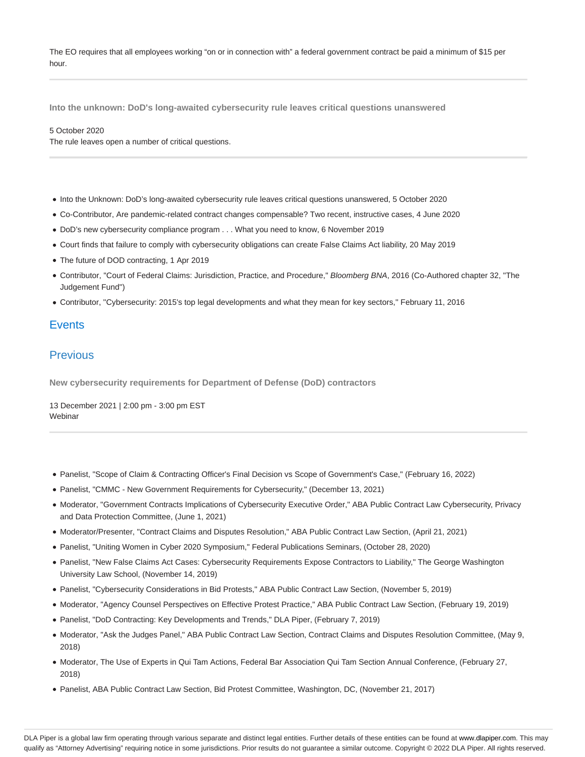The EO requires that all employees working "on or in connection with" a federal government contract be paid a minimum of \$15 per hour.

**Into the unknown: DoD's long-awaited cybersecurity rule leaves critical questions unanswered**

#### 5 October 2020

The rule leaves open a number of critical questions.

- Into the Unknown: DoD's long-awaited cybersecurity rule leaves critical questions unanswered, 5 October 2020
- Co-Contributor, Are pandemic-related contract changes compensable? Two recent, instructive cases, 4 June 2020
- DoD's new cybersecurity compliance program . . . What you need to know, 6 November 2019
- Court finds that failure to comply with cybersecurity obligations can create False Claims Act liability, 20 May 2019
- The future of DOD contracting, 1 Apr 2019
- Contributor, "Court of Federal Claims: Jurisdiction, Practice, and Procedure," Bloomberg BNA, 2016 (Co-Authored chapter 32, "The Judgement Fund")
- Contributor, ''Cybersecurity: 2015's top legal developments and what they mean for key sectors,'' February 11, 2016

## **Events**

## Previous

**New cybersecurity requirements for Department of Defense (DoD) contractors**

13 December 2021 | 2:00 pm - 3:00 pm EST **Webinar** 

- Panelist, "Scope of Claim & Contracting Officer's Final Decision vs Scope of Government's Case," (February 16, 2022)
- Panelist, "CMMC New Government Requirements for Cybersecurity," (December 13, 2021)
- Moderator, "Government Contracts Implications of Cybersecurity Executive Order," ABA Public Contract Law Cybersecurity, Privacy and Data Protection Committee, (June 1, 2021)
- Moderator/Presenter, "Contract Claims and Disputes Resolution," ABA Public Contract Law Section, (April 21, 2021)
- Panelist, "Uniting Women in Cyber 2020 Symposium," Federal Publications Seminars, (October 28, 2020)
- Panelist, "New False Claims Act Cases: Cybersecurity Requirements Expose Contractors to Liability," The George Washington University Law School, (November 14, 2019)
- Panelist, "Cybersecurity Considerations in Bid Protests," ABA Public Contract Law Section, (November 5, 2019)
- Moderator, "Agency Counsel Perspectives on Effective Protest Practice," ABA Public Contract Law Section, (February 19, 2019)
- Panelist, "DoD Contracting: Key Developments and Trends," DLA Piper, (February 7, 2019)
- Moderator, "Ask the Judges Panel," ABA Public Contract Law Section, Contract Claims and Disputes Resolution Committee, (May 9, 2018)
- Moderator, The Use of Experts in Qui Tam Actions, Federal Bar Association Qui Tam Section Annual Conference, (February 27, 2018)
- Panelist, ABA Public Contract Law Section, Bid Protest Committee, Washington, DC, (November 21, 2017)